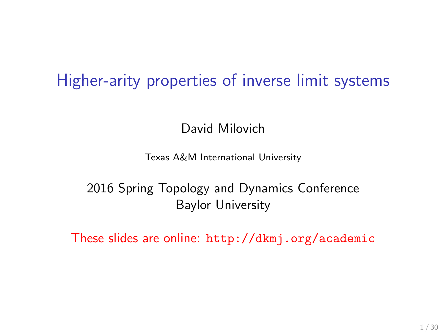## Higher-arity properties of inverse limit systems

David Milovich

Texas A&M International University

2016 Spring Topology and Dynamics Conference Baylor University

These slides are online: <http://dkmj.org/academic>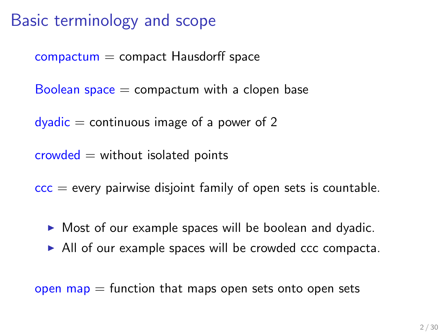## Basic terminology and scope

 $compactum = compact Hausdorff space$ 

Boolean space  $=$  compactum with a clopen base

 $dyadic = continuous image of a power of 2$ 

 $crowded = without isolated points$ 

 $\overline{ccc}$  = every pairwise disjoint family of open sets is countable.

- $\triangleright$  Most of our example spaces will be boolean and dyadic.
- $\triangleright$  All of our example spaces will be crowded ccc compacta.

open map  $=$  function that maps open sets onto open sets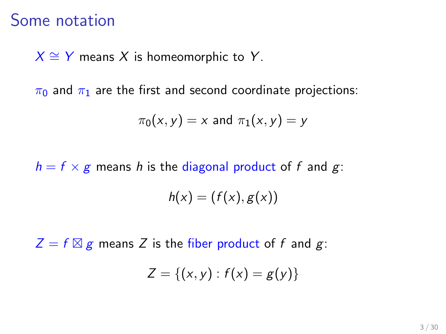### Some notation

 $X \cong Y$  means X is homeomorphic to Y.

 $\pi_0$  and  $\pi_1$  are the first and second coordinate projections:

$$
\pi_0(x,y)=x \text{ and } \pi_1(x,y)=y
$$

 $h = f \times g$  means h is the diagonal product of f and g:

$$
h(x) = (f(x), g(x))
$$

 $Z = f \boxtimes g$  means Z is the fiber product of f and g:

$$
Z = \{(x, y) : f(x) = g(y)\}
$$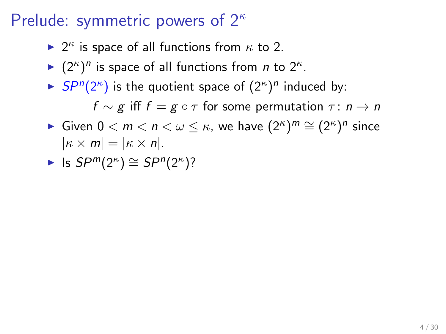- ►  $2^{\kappa}$  is space of all functions from  $\kappa$  to 2.
- ►  $(2^{\kappa})^n$  is space of all functions from *n* to  $2^{\kappa}$ .
- $\blacktriangleright$  SP<sup>n</sup>(2<sup> $\kappa$ </sup>) is the quotient space of  $(2^{\kappa})^n$  induced by:  $f \sim g$  iff  $f = g \circ \tau$  for some permutation  $\tau : n \to n$
- ► Given  $0 < m < n < \omega \leq \kappa$ , we have  $(2^{\kappa})^m \cong (2^{\kappa})^n$  since  $|\kappa \times m| = |\kappa \times n|.$
- ► Is  $SP^m(2^{\kappa}) \cong SP^n(2^{\kappa})$ ?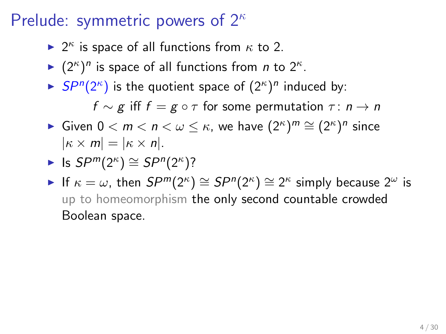- ►  $2^{\kappa}$  is space of all functions from  $\kappa$  to 2.
- ►  $(2^{\kappa})^n$  is space of all functions from *n* to  $2^{\kappa}$ .
- $\blacktriangleright$  SP<sup>n</sup>(2<sup> $\kappa$ </sup>) is the quotient space of  $(2^{\kappa})^n$  induced by:  $f \sim \varrho$  iff  $f = \varrho \circ \tau$  for some permutation  $\tau : n \to n$
- ► Given  $0 < m < n < \omega \leq \kappa$ , we have  $(2^{\kappa})^m \cong (2^{\kappa})^n$  since  $|\kappa \times m| = |\kappa \times n|.$

► Is 
$$
SP^m(2^{\kappa}) \cong SP^n(2^{\kappa})
$$
?

If  $\kappa = \omega$ , then  $SP^{m}(2^{\kappa}) \cong SP^{n}(2^{\kappa}) \cong 2^{\kappa}$  simply because  $2^{\omega}$  is up to homeomorphism the only second countable crowded Boolean space.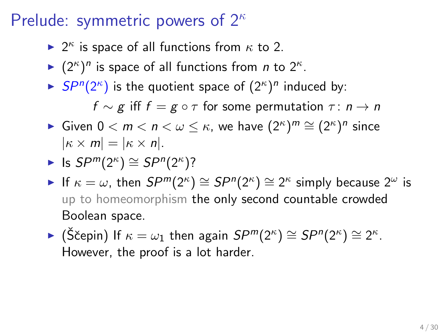- ►  $2^{\kappa}$  is space of all functions from  $\kappa$  to 2.
- ►  $(2^{\kappa})^n$  is space of all functions from *n* to  $2^{\kappa}$ .
- $\blacktriangleright$  SP<sup>n</sup>(2<sup> $\kappa$ </sup>) is the quotient space of  $(2^{\kappa})^n$  induced by:  $f \sim \varrho$  iff  $f = \varrho \circ \tau$  for some permutation  $\tau : n \to n$
- ► Given  $0 < m < n < \omega \leq \kappa$ , we have  $(2^{\kappa})^m \cong (2^{\kappa})^n$  since  $|\kappa \times m| = |\kappa \times n|.$

► Is 
$$
SP^m(2^{\kappa}) \cong SP^n(2^{\kappa})
$$
?

- If  $\kappa = \omega$ , then  $SP^{m}(2^{\kappa}) \cong SP^{n}(2^{\kappa}) \cong 2^{\kappa}$  simply because  $2^{\omega}$  is up to homeomorphism the only second countable crowded Boolean space.
- ► (Ščepin) If  $\kappa = \omega_1$  then again  $SP^m(2^{\kappa}) \cong SP^n(2^{\kappa}) \cong 2^{\kappa}$ . However, the proof is a lot harder.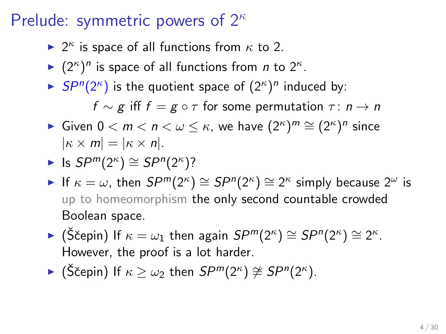- ►  $2^{\kappa}$  is space of all functions from  $\kappa$  to 2.
- ►  $(2^{\kappa})^n$  is space of all functions from *n* to  $2^{\kappa}$ .
- $\blacktriangleright$  SP<sup>n</sup>(2<sup> $\kappa$ </sup>) is the quotient space of  $(2^{\kappa})^n$  induced by:  $f \sim \varrho$  iff  $f = \varrho \circ \tau$  for some permutation  $\tau : n \to n$
- ► Given  $0 < m < n < \omega \leq \kappa$ , we have  $(2^{\kappa})^m \cong (2^{\kappa})^n$  since  $|\kappa \times m| = |\kappa \times n|.$

► Is 
$$
SP^m(2^{\kappa}) \cong SP^n(2^{\kappa})
$$
?

- If  $\kappa = \omega$ , then  $SP^{m}(2^{\kappa}) \cong SP^{n}(2^{\kappa}) \cong 2^{\kappa}$  simply because  $2^{\omega}$  is up to homeomorphism the only second countable crowded Boolean space.
- ► (Ščepin) If  $\kappa = \omega_1$  then again  $SP^m(2^{\kappa}) \cong SP^n(2^{\kappa}) \cong 2^{\kappa}$ . However, the proof is a lot harder.
- ► (Ščepin) If  $\kappa \geq \omega_2$  then  $SP^m(2^{\kappa}) \ncong SP^n(2^{\kappa})$ .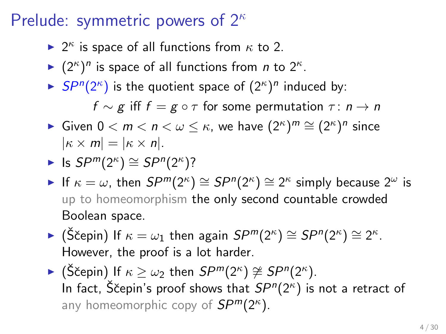- ►  $2^{\kappa}$  is space of all functions from  $\kappa$  to 2.
- ►  $(2^{\kappa})^n$  is space of all functions from *n* to  $2^{\kappa}$ .
- $\blacktriangleright$  SP<sup>n</sup>(2<sup> $\kappa$ </sup>) is the quotient space of  $(2^{\kappa})^n$  induced by:  $f \sim g$  iff  $f = g \circ \tau$  for some permutation  $\tau : n \to n$
- ► Given  $0 < m < n < \omega \leq \kappa$ , we have  $(2^{\kappa})^m \cong (2^{\kappa})^n$  since  $|\kappa \times m| = |\kappa \times n|.$

► Is 
$$
SP^m(2^{\kappa}) \cong SP^n(2^{\kappa})
$$
?

- If  $\kappa = \omega$ , then  $SP^{m}(2^{\kappa}) \cong SP^{n}(2^{\kappa}) \cong 2^{\kappa}$  simply because  $2^{\omega}$  is up to homeomorphism the only second countable crowded Boolean space.
- ► (Ščepin) If  $\kappa = \omega_1$  then again  $SP^m(2^{\kappa}) \cong SP^n(2^{\kappa}) \cong 2^{\kappa}$ . However, the proof is a lot harder.
- ► (Ščepin) If  $\kappa \geq \omega_2$  then  $SP^m(2^{\kappa}) \ncong SP^n(2^{\kappa})$ . In fact, S̆čepin's proof shows that  $SP^n(2^{\kappa})$  is not a retract of any homeomorphic copy of  $SP^m(2^{\kappa})$ .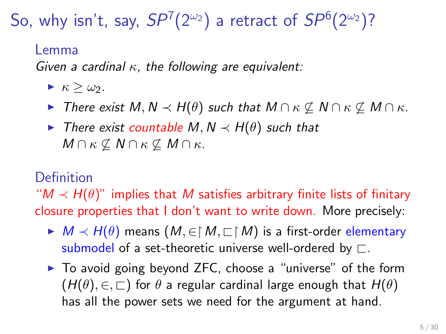So, why isn't, say,  $SP^7(2^{\omega_2})$  a retract of  $SP^6(2^{\omega_2})$ ?

#### Lemma

Given a cardinal  $\kappa$ , the following are equivalent:

- $\blacktriangleright$   $\kappa > \omega_2$ .
- $\triangleright$  There exist M, N  $\prec$  H( $\theta$ ) such that M ∩ κ ⊄ M ∩ κ ⊄ M ∩ κ.
- $\triangleright$  There exist countable M, N  $\prec$  H( $\theta$ ) such that  $M \cap \kappa \not\subseteq N \cap \kappa \not\subseteq M \cap \kappa$ .

#### Definition

" $M \prec H(\theta)$ " implies that M satisfies arbitrary finite lists of finitary closure properties that I don't want to write down. More precisely:

- $\blacktriangleright M \prec H(\theta)$  means  $(M, \in \upharpoonright M, \sqsubset \upharpoonright M)$  is a first-order elementary submodel of a set-theoretic universe well-ordered by  $\Box$ .
- $\triangleright$  To avoid going beyond ZFC, choose a "universe" of the form  $(H(\theta), \in, \sqsubset)$  for  $\theta$  a regular cardinal large enough that  $H(\theta)$ has all the power sets we need for the argument at hand.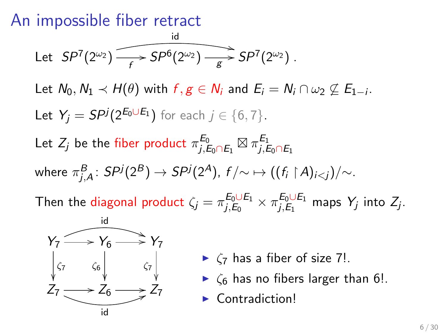### An impossible fiber retract

Let 
$$
SP^7(2^{\omega_2})
$$
  $\longrightarrow$   $SP^6(2^{\omega_2})$   $\longrightarrow$   $SP^7(2^{\omega_2})$ .

Let  $N_0, N_1 \prec H(\theta)$  with  $f, g \in N_i$  and  $E_i = N_i \cap \omega_2 \not\subseteq E_{1-i}$ . Let  $Y_j = SP^j(2^{E_0 \cup E_1})$  for each  $j \in \{6, 7\}$ .

Let  $Z_j$  be the fiber product  $\pi^{E_0}_{i,B}$  $^{E_0}_{j,E_0\cap E_1}\boxtimes \pi^{E_1}_{j,E}$  $j, E_0 \cap E_1$ where  $\pi^B_{j,A}\colon S P^j(2^B)\to S P^j(2^A)$ ,  $f/\!\!\sim\,\mapsto ((f_i\restriction A)_{i .$ 

Then the diagonal product  $\zeta_j = \pi_{j,E_0}^{E_0 \cup E_1}$  $\frac{E_0\cup E_1}{E_0}\times \pi_{j,E_1}^{E_0\cup E_1}$  $j, E_1$  maps  $Y_j$  into  $Z_j$ .



- $\blacktriangleright$   $\zeta$  has a fiber of size 7!.
- $\triangleright$   $\zeta_6$  has no fibers larger than 6!.
- $\blacktriangleright$  Contradiction!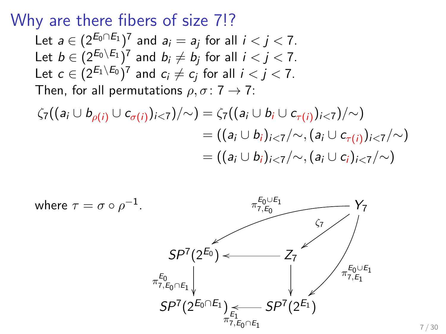Why are there fibers of size 7!?

Let  $a \in (2^{E_0 \cap E_1})^7$  and  $a_i = a_j$  for all  $i < j < 7$ . Let  $b \in (2^{E_0 \setminus E_1})^7$  and  $b_i \neq b_j$  for all  $i < j < 7$ . Let  $c\in (2^{E_1\setminus E_0})^7$  and  $c_i\neq c_j$  for all  $i< j < 7$ . Then, for all permutations  $\rho, \sigma: 7 \rightarrow 7$ :

$$
\begin{aligned} \zeta_7((a_i \cup b_{\rho(i)} \cup c_{\sigma(i)})_{i < 7})/\sim) &= \zeta_7((a_i \cup b_i \cup c_{\tau(i)})_{i < 7})/\sim) \\ &= ((a_i \cup b_i)_{i < 7}/\sim, (a_i \cup c_{\tau(i)})_{i < 7}/\sim) \\ &= ((a_i \cup b_i)_{i < 7}/\sim, (a_i \cup c_i)_{i < 7}/\sim) \end{aligned}
$$

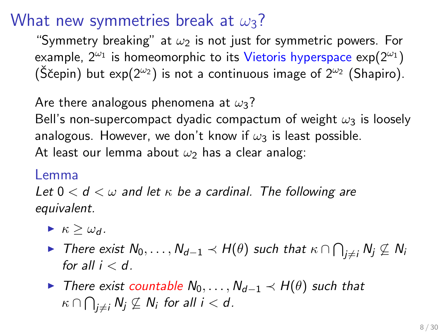### What new symmetries break at  $\omega_3$ ?

"Symmetry breaking" at  $\omega_2$  is not just for symmetric powers. For example,  $2^{\omega_1}$  is homeomorphic to its Vietoris hyperspace  $\exp(2^{\omega_1})$ (Ščepin) but exp( $2^{\omega_2}$ ) is not a continuous image of  $2^{\omega_2}$  (Shapiro).

Are there analogous phenomena at  $\omega_3$ ?

Bell's non-supercompact dyadic compactum of weight  $\omega_3$  is loosely analogous. However, we don't know if  $\omega_3$  is least possible. At least our lemma about  $\omega_2$  has a clear analog:

#### Lemma

Let  $0 < d < \omega$  and let  $\kappa$  be a cardinal. The following are equivalent.

- $\blacktriangleright$   $\kappa > \omega_d$ .
- ► There exist  $\mathsf{N}_0,\ldots,\mathsf{N}_{d-1}\prec \mathsf{H}(\theta)$  such that  $\kappa\cap \bigcap_{j\neq i}\mathsf{N}_j\not\subseteq \mathsf{N}_i$ for all  $i < d$ .
- $\triangleright$  There exist countable  $N_0, \ldots, N_{d-1} \prec H(\theta)$  such that  $\kappa \cap \bigcap_{j \neq i} \mathit{N}_j \not\subseteq \mathit{N}_i$  for all  $i < d$ .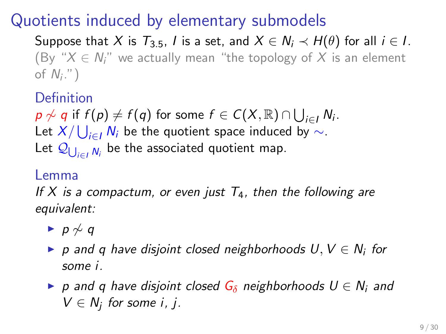## Quotients induced by elementary submodels

Suppose that X is  $T_{3.5}$ , I is a set, and  $X \in N_i \prec H(\theta)$  for all  $i \in I$ . (By " $X \in N$ " we actually mean "the topology of X is an element of  $N_i$ .")

**Definition** 

 $p\not\sim q$  if  $f(p)\neq f(q)$  for some  $f\in C(X,\mathbb{R})\cap\bigcup_{i\in I}N_i$ . Let  $X/\bigcup_{i\in I}N_i$  be the quotient space induced by  $\sim$ . Let  $\mathcal{Q}_{\bigcup_{i\in I}N_i}$  be the associated quotient map.

#### Lemma

If X is a compactum, or even just  $T_4$ , then the following are equivalent:

- $\rightarrow p \not\sim q$
- ▶ p and q have disjoint closed neighborhoods  $U, V \in N_i$  for some i.
- $\triangleright$  p and q have disjoint closed  $G_\delta$  neighborhoods  $U \in N_i$  and  $V \in N_j$  for some i, j.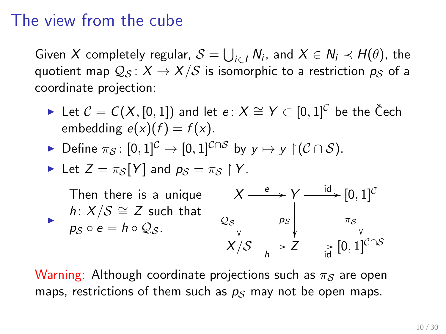### The view from the cube

Given X completely regular,  $\mathcal{S} = \bigcup_{i \in I} N_i$ , and  $X \in N_i \prec H(\theta)$ , the quotient map  $Q_S: X \to X/S$  is isomorphic to a restriction  $p_S$  of a coordinate projection:

- ► Let  $C = C(X, [0, 1])$  and let  $e: X \cong Y \subset [0, 1]^C$  be the Čech embedding  $e(x)(f) = f(x)$ .
- $\triangleright$  Define  $\pi_S$ : [0, 1]<sup>C</sup> → [0, 1]<sup>C∩S</sup> by  $y \mapsto y$   $\upharpoonright$  (C ∩ S).

Let 
$$
Z = \pi_S[Y]
$$
 and  $p_S = \pi_S \upharpoonright Y$ .

i. Then there is a unique h:  $X/S \cong Z$  such that  $p_{\mathcal{S}} \circ e = h \circ \mathcal{Q}_{\mathcal{S}}.$ X  $\mathcal{Q}_{\mathcal{S}}$ ľ  $\overset{e}{\longrightarrow} Y$ p<sup>S</sup>  $\overline{\phantom{a}}$  $\stackrel{\mathsf{id}}{\longrightarrow} [0, 1]^\mathcal{C}$  $\pi_{\mathcal{S}}$ ľ. X/S h /Z id /[0, 1]C∩S

Warning: Although coordinate projections such as  $\pi_S$  are open maps, restrictions of them such as  $p<sub>S</sub>$  may not be open maps.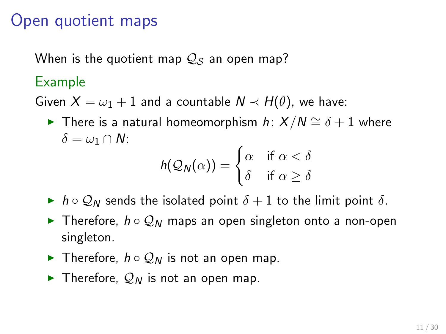### Open quotient maps

When is the quotient map  $Q_S$  an open map?

#### Example

Given  $X = \omega_1 + 1$  and a countable  $N \prec H(\theta)$ , we have:

**►** There is a natural homeomorphism  $h: X/N \cong \delta + 1$  where  $\delta = \omega_1 \cap N$ :

$$
h(\mathcal{Q}_N(\alpha)) = \begin{cases} \alpha & \text{if } \alpha < \delta \\ \delta & \text{if } \alpha \geq \delta \end{cases}
$$

- $\blacktriangleright$  h  $\circ$  Q<sub>N</sub> sends the isolated point  $\delta + 1$  to the limit point  $\delta$ .
- **►** Therefore,  $h \circ Q_N$  maps an open singleton onto a non-open singleton.
- **►** Therefore,  $h \circ Q_N$  is not an open map.
- $\blacktriangleright$  Therefore,  $\mathcal{Q}_N$  is not an open map.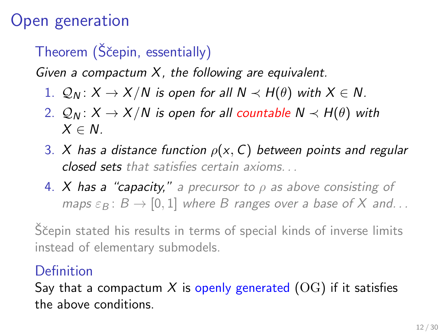# Open generation

# Theorem (Ščepin, essentially)

Given a compactum  $X$ , the following are equivalent.

- 1.  $Q_N$ :  $X \to X/N$  is open for all  $N \prec H(\theta)$  with  $X \in N$ .
- 2.  $Q_N$ :  $X \to X/N$  is open for all countable  $N \prec H(\theta)$  with  $X \in N$
- 3. X has a distance function  $\rho(x, C)$  between points and regular closed sets that satisfies certain axioms. . .
- 4. X has a "capacity," a precursor to  $\rho$  as above consisting of maps  $\varepsilon_B$ :  $B \to [0, 1]$  where B ranges over a base of X and...

Ščepin stated his results in terms of special kinds of inverse limits instead of elementary submodels.

### Definition

Say that a compactum X is openly generated  $(OG)$  if it satisfies the above conditions.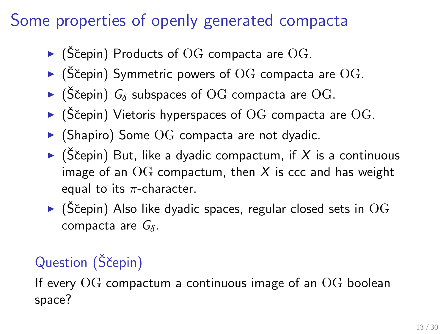# Some properties of openly generated compacta

- $\blacktriangleright$  (Ščepin) Products of OG compacta are OG.
- $\blacktriangleright$  (Ščepin) Symmetric powers of OG compacta are OG.
- $\blacktriangleright$  (Ščepin)  $G_\delta$  subspaces of OG compacta are OG.
- $\blacktriangleright$  (Ščepin) Vietoris hyperspaces of OG compacta are OG.
- $\triangleright$  (Shapiro) Some OG compacta are not dyadic.
- $\triangleright$  (Ščepin) But, like a dyadic compactum, if X is a continuous image of an  $\overline{OG}$  compactum, then X is ccc and has weight equal to its  $\pi$ -character.
- $\blacktriangleright$  (Ščepin) Also like dyadic spaces, regular closed sets in OG compacta are  $G_\delta$ .

# Question (Ščepin)

If every  $\rm OG$  compactum a continuous image of an  $\rm OG$  boolean space?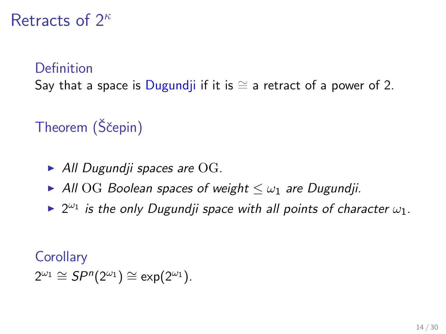### Retracts of  $2^k$

#### **Definition**

Say that a space is Dugundji if it is  $\cong$  a retract of a power of 2.

# Theorem (Ščepin)

- $\blacktriangleright$  All Dugundji spaces are OG.
- All OG Boolean spaces of weight  $\leq \omega_1$  are Dugundji.
- $\blacktriangleright$  2<sup> $\omega_1$ </sup> is the only Dugundji space with all points of character  $\omega_1$ .

#### **Corollary**

 $2^{\omega_1} \cong SP^n(2^{\omega_1}) \cong \exp(2^{\omega_1}).$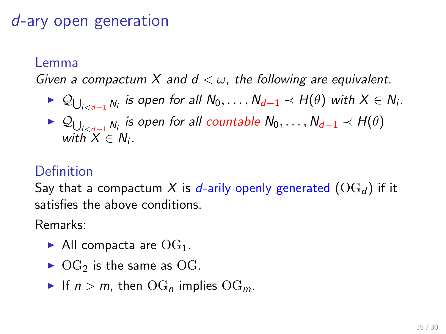## d-ary open generation

#### Lemma

Given a compactum X and  $d < \omega$ , the following are equivalent.

- ►  $\mathcal{Q}_{\bigcup_{i is open for all  $N_0,\ldots,N_{d-1}\prec H(\theta)$  with  $X\in N_i.$$
- ►  $\mathcal{Q}_{\bigcup_{i< d-1} N_i}$  is open for all countable  $N_0, \ldots, N_{d-1} \prec H(\theta)$ with  $X \in N_i$ .

#### Definition

Say that a compactum X is d-arily openly generated  $(\text{OG}_d)$  if it satisfies the above conditions.

Remarks:

- All compacta are  $OG_1$ .
- $\triangleright$  OG<sub>2</sub> is the same as OG.
- If  $n > m$ , then  $\text{OG}_n$  implies  $\text{OG}_m$ .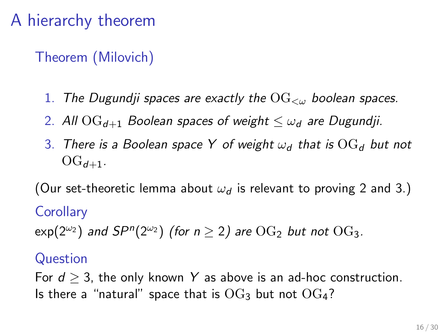# A hierarchy theorem

Theorem (Milovich)

- 1. The Dugundji spaces are exactly the  $\overline{\text{OG}}_{\leq w}$  boolean spaces.
- <span id="page-19-0"></span>2. All  $\text{OG}_{d+1}$  Boolean spaces of weight  $\lt \omega_d$  are Dugundji.
- <span id="page-19-1"></span>3. There is a Boolean space Y of weight  $\omega_d$  that is  $\text{OG}_d$  but not  $OG_{d+1}$ .

(Our set-theoretic lemma about  $\omega_d$  is relevant to proving [2](#page-19-0) and [3.](#page-19-1))

#### **Corollary**

 $\mathsf{exp}(2^{\omega_2})$  and  $\mathsf{S}P^n(2^{\omega_2})$  (for  $n\geq 2)$  are  $\mathrm{OG}_2$  but not  $\mathrm{OG}_3$ .

#### Question

For  $d \geq 3$ , the only known Y as above is an ad-hoc construction. Is there a "natural" space that is  $OG_3$  but not  $OG_4$ ?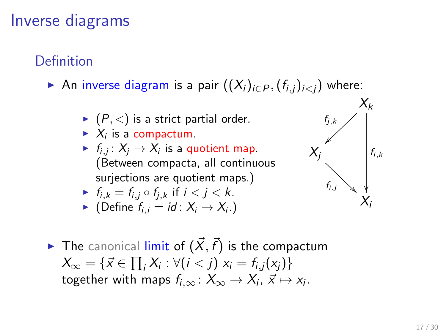## Inverse diagrams

### Definition

- An inverse diagram is a pair  $((X_i)_{i\in P}, (f_{i,i})_{i where:$ 
	- $(P, <)$  is a strict partial order.
	- $\blacktriangleright$   $X_i$  is a compactum.
	- $\blacktriangleright$   $f_{i,j} \colon X_j \to X_i$  is a quotient map. (Between compacta, all continuous surjections are quotient maps.)

$$
\blacktriangleright f_{i,k} = f_{i,j} \circ f_{j,k} \text{ if } i < j < k.
$$

• (Define 
$$
f_{i,i} = id : X_i \rightarrow X_i
$$
.)



 $\blacktriangleright$  The canonical limit of  $(\vec{X}, \vec{f})$  is the compactum  $X_{\infty} = \{ \vec{x} \in \prod_i X_i : \forall (i < j) \; x_i = f_{i,j}(x_j) \}$ together with maps  $f_{i,\infty}\colon X_\infty\to X_i$ ,  $\vec{x}\mapsto x_i.$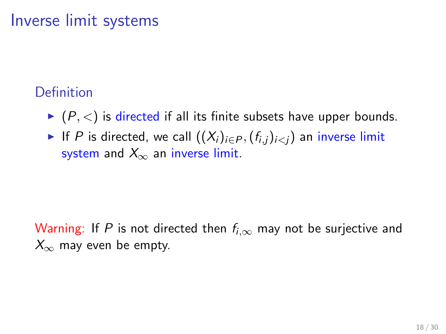### Inverse limit systems

### **Definition**

- $\blacktriangleright$   $(P, <)$  is directed if all its finite subsets have upper bounds.
- If P is directed, we call  $((X_i)_{i\in P}, (f_{i,j})_{i\leq j})$  an inverse limit system and  $X_{\infty}$  an inverse limit.

Warning: If P is not directed then  $f_{i,\infty}$  may not be surjective and  $X_{\infty}$  may even be empty.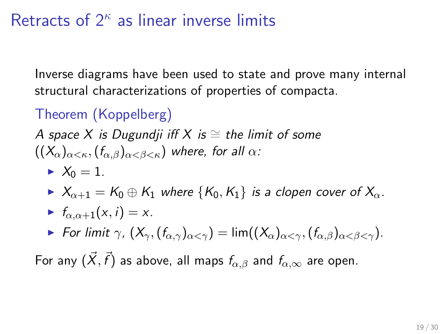# Retracts of  $2<sup>k</sup>$  as linear inverse limits

Inverse diagrams have been used to state and prove many internal structural characterizations of properties of compacta.

## Theorem (Koppelberg)

A space X is Dugundji iff X is  $\cong$  the limit of some  $((X_{\alpha})_{\alpha<\kappa},(f_{\alpha,\beta})_{\alpha<\beta<\kappa})$  where, for all  $\alpha$ :

 $\blacktriangleright$   $X_0 = 1$ .

$$
\quad \blacktriangleright \ X_{\alpha+1} = \mathcal{K}_0 \oplus \mathcal{K}_1 \text{ where } \{\mathcal{K}_0, \mathcal{K}_1\} \text{ is a clopen cover of } X_\alpha.
$$

$$
\blacktriangleright f_{\alpha,\alpha+1}(x,i)=x.
$$

For limit  $\gamma$ ,  $(X_{\gamma}, (f_{\alpha,\gamma})_{\alpha<\gamma}) = \lim ((X_{\alpha})_{\alpha<\gamma}, (f_{\alpha,\beta})_{\alpha<\beta<\gamma}).$ 

For any  $(\vec{X},\vec{f})$  as above, all maps  $f_{\alpha,\beta}$  and  $f_{\alpha,\infty}$  are open.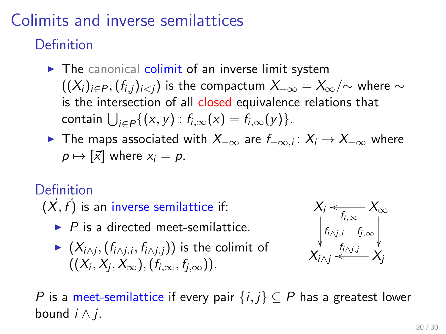# Colimits and inverse semilattices

Definition

- $\triangleright$  The canonical colimit of an inverse limit system  $((X_i)_{i\in P}, (f_{i,i})_{i\leq i})$  is the compactum  $X_{-\infty} = X_{\infty}/\sim$  where  $\sim$ is the intersection of all closed equivalence relations that contain  $\bigcup_{i\in P}\{(x,y): f_{i,\infty}(x) = f_{i,\infty}(y)\}.$
- ▶ The maps associated with  $X_{-\infty}$  are  $f_{-\infty,i}\colon X_i\to X_{-\infty}$  where  $p \mapsto [\vec{x}]$  where  $x_i = p$ .

### Definition

 $(\vec{X},\vec{f})$  is an inverse semilattice if:

- $\blacktriangleright$  P is a directed meet-semilattice.
- $\blacktriangleright \; (X_{i\wedge j}, (f_{i\wedge j, i}, f_{i\wedge j, j}))$  is the colimit of  $((X_i,X_j,X_\infty),(f_{i,\infty},f_{j,\infty})).$



P is a meet-semilattice if every pair  $\{i, j\} \subseteq P$  has a greatest lower bound  $i \wedge i$ .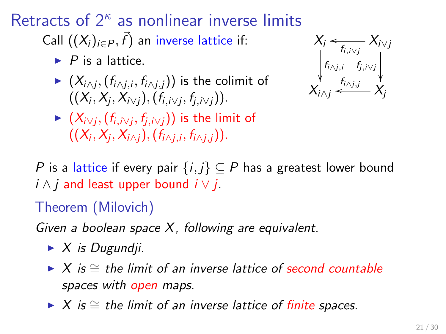Retracts of  $2^{\kappa}$  as nonlinear inverse limits Call  $((X_i)_{i\in P}, \vec{f})$  an inverse lattice if:

- $\blacktriangleright$  P is a lattice.
- $\blacktriangleright \; (X_{i \wedge j}, (f_{i \wedge j, i}, f_{i \wedge j, j}))$  is the colimit of  $((X_i, X_j, X_{i\vee j}), (f_{i,i\vee j}, f_{j,i\vee j})).$



 $\blacktriangleright \; (X_{i\vee j}, (f_{i,i\vee j}, f_{j,i\vee j}))$  is the limit of  $((X_i,X_j,X_{i\wedge j}),(\mathsf{f}_{i\wedge j,i},\mathsf{f}_{i\wedge j,j})).$ 

P is a lattice if every pair  $\{i,j\} \subseteq P$  has a greatest lower bound  $i \wedge j$  and least upper bound  $i \vee j$ .

Theorem (Milovich)

Given a boolean space  $X$ , following are equivalent.

- $\blacktriangleright$  X is Dugundji.
- $\triangleright$  X is  $\cong$  the limit of an inverse lattice of second countable spaces with open maps.
- $\triangleright$  X is  $\cong$  the limit of an inverse lattice of finite spaces.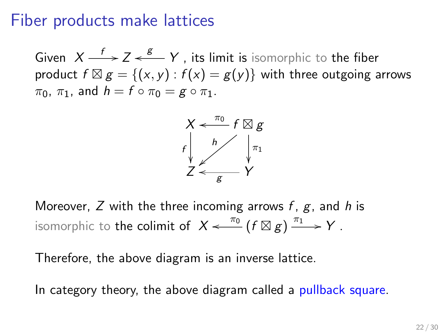### Fiber products make lattices

Given  $X \xrightarrow{f} Z \xleftarrow{g} Y$  , its limit is isomorphic to the fiber product  $f \boxtimes g = \{(x, y) : f(x) = g(y)\}$  with three outgoing arrows  $\pi_0$ ,  $\pi_1$ , and  $h = f \circ \pi_0 = g \circ \pi_1$ .



Moreover, Z with the three incoming arrows  $f, g$ , and h is isomorphic to the colimit of  $X \xleftarrow{\pi_0} (f \boxtimes g) \xrightarrow{\pi_1} Y$  .

Therefore, the above diagram is an inverse lattice.

In category theory, the above diagram called a pullback square.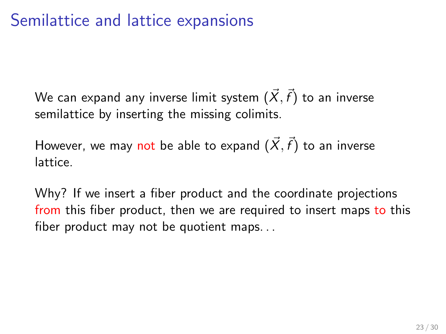## Semilattice and lattice expansions

We can expand any inverse limit system  $(\vec{X},\vec{f})$  to an inverse semilattice by inserting the missing colimits.

However, we may not be able to expand  $(\vec{X},\vec{f})$  to an inverse lattice.

Why? If we insert a fiber product and the coordinate projections from this fiber product, then we are required to insert maps to this fiber product may not be quotient maps. . .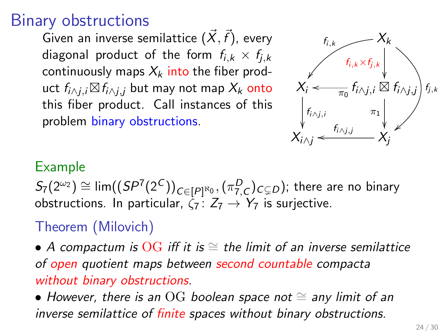### Binary obstructions

Given an inverse semilattice  $(\vec{X},\vec{f})$ , every diagonal product of the form  $f_{i,k} \times f_{i,k}$ continuously maps  $X_k$  into the fiber product  $f_{i\wedge j,i}\boxtimes f_{i\wedge j,j}$  but may not map  $X_k$  onto this fiber product. Call instances of this problem binary obstructions.



#### Example

 $S_7(2^{\omega_2}) \cong \lim ((SP^7(2^C))_{C \in [P]^{\aleph_0}}, (\pi^D_{7,C})_{C \subsetneq D})$ ; there are no binary obstructions. In particular,  $\zeta_7$ :  $Z_7 \rightarrow Y_7$  is surjective.

### Theorem (Milovich)

• A compactum is  $\overline{OG}$  iff it is  $\cong$  the limit of an inverse semilattice of open quotient maps between second countable compacta without binary obstructions.

• However, there is an OG boolean space not  $\cong$  any limit of an inverse semilattice of finite spaces without binary obstructions.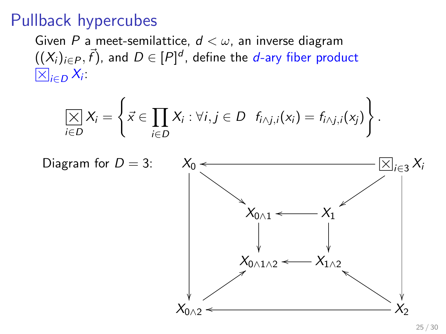### Pullback hypercubes

Given P a meet-semilattice,  $d < \omega$ , an inverse diagram  $((X_i)_{i\in P}, \vec{f})$ , and  $D\in [P]^d$ , define the  $d$ -ary fiber product  $_{i\in D}X_i$ 

$$
\underset{i\in D}{\left[\times\right]}X_i=\left\{\vec{x}\in\prod_{i\in D}X_i:\forall i,j\in D\ \ f_{i\wedge j,i}(x_i)=f_{i\wedge j,i}(x_j)\right\}.
$$

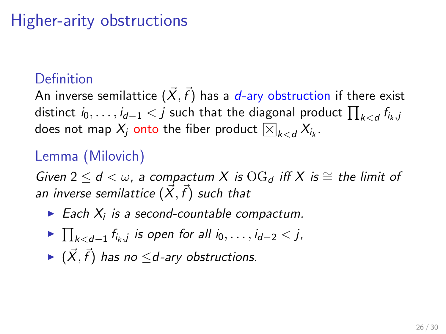# Higher-arity obstructions

#### Definition

An inverse semilattice  $(\vec{X},\vec{f})$  has a  $d$ -ary obstruction if there exist distinct  $i_0,\ldots,i_{d-1} < j$  such that the diagonal product  $\prod_{k < d} f_{i_k,j}$ aistinct  $t_0,\ldots,t_{d-1} < J$  such that the diagonal prod<br>does not map  $X_j$  onto the fiber product  $\boxtimes_{k < d} X_{i_k}.$ 

### Lemma (Milovich)

Given 2  $\leq d < \omega$ , a compactum X is  $\text{OG}_d$  iff X is  $\cong$  the limit of an inverse semilattice  $(\vec{X},\vec{f})$  such that

- $\blacktriangleright$  Each  $X_i$  is a second-countable compactum.
- ►  $\prod_{k < d-1} f_{i_k,j}$  is open for all  $i_0, \ldots, i_{d-2} < j$ ,
- $\blacktriangleright$   $(\vec{X}, \vec{f})$  has no  $\leq$ d-ary obstructions.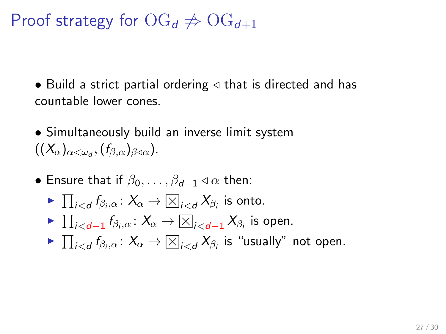# Proof strategy for  $\text{OG}_d \neq \text{OG}_{d+1}$

• Build a strict partial ordering  $\triangleleft$  that is directed and has countable lower cones.

• Simultaneously build an inverse limit system  $((\mathcal{X}_{\alpha})_{\alpha<\omega_{d}},(f_{\beta,\alpha})_{\beta\triangleleft\alpha}).$ 

- Ensure that if  $\beta_0, \ldots, \beta_{d-1} \triangleleft \alpha$  then:
	- $\blacktriangleright \prod_{i < d} f_{\beta_i, \alpha} \colon X_{\alpha} \to \boxtimes_{i < d} X_{\beta_i}$  is onto.
	- ►  $\prod_{i < d-1} f_{\beta_i, \alpha} : X_{\alpha} \to \boxed{\times}_{i < d-1} X_{\beta_i}$  is open.
	- $\blacktriangleright \prod_{i < d} f_{\beta_i, \alpha} \colon X_\alpha \to \boxtimes_{i < d} X_{\beta_i}$  is "usually" not open.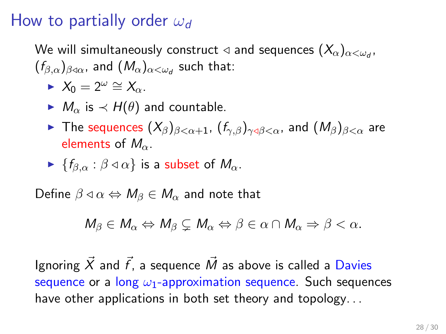## How to partially order  $\omega_d$

We will simultaneously construct  $\triangleleft$  and sequences  $(X_{\alpha})_{\alpha<\omega_{d}}$ ,  $(f_{\beta,\alpha})_{\beta\triangleleft\alpha}$ , and  $(M_\alpha)_{\alpha<\omega_d}$  such that:

- $\blacktriangleright$  X<sub>0</sub> = 2<sup>ω</sup>  $\cong$  X<sub>α</sub>.
- $\blacktriangleright M_{\alpha}$  is  $\prec H(\theta)$  and countable.
- **IF The sequences**  $(X_{\beta})_{\beta<\alpha+1}$ ,  $(f_{\gamma,\beta})_{\gamma<\beta<\alpha}$ , and  $(M_{\beta})_{\beta<\alpha}$  are elements of  $M_{\alpha}$ .
- $\blacktriangleright$  { $f_{\beta,\alpha}$  :  $\beta \triangleleft \alpha$ } is a subset of  $M_{\alpha}$ .

Define  $\beta \triangleleft \alpha \Leftrightarrow M_{\beta} \in M_{\alpha}$  and note that

 $M_{\beta} \in M_{\alpha} \Leftrightarrow M_{\beta} \subset M_{\alpha} \Leftrightarrow \beta \in \alpha \cap M_{\alpha} \Rightarrow \beta < \alpha.$ 

Ignoring  $\vec{X}$  and  $\vec{f}$ , a sequence  $\vec{M}$  as above is called a Davies sequence or a long  $\omega_1$ -approximation sequence. Such sequences have other applications in both set theory and topology...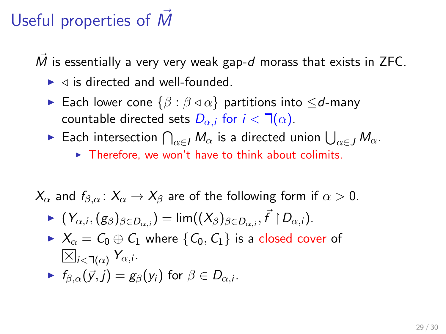# Useful properties of  $\dot{M}$

 $\vec{M}$  is essentially a very very weak gap-d morass that exists in ZFC.

- $\blacktriangleright$   $\triangleleft$  is directed and well-founded.
- **►** Each lower cone  $\{\beta : \beta \lhd \alpha\}$  partitions into  $\leq d$ -many countable directed sets  $D_{\alpha,i}$  for  $i < \mathbb{I}(\alpha)$ .
- ► Each intersection  $\bigcap_{\alpha \in I} M_\alpha$  is a directed union  $\bigcup_{\alpha \in J} M_\alpha$ .  $\triangleright$  Therefore, we won't have to think about colimits.

 $X_{\alpha}$  and  $f_{\beta,\alpha}$ :  $X_{\alpha} \to X_{\beta}$  are of the following form if  $\alpha > 0$ .

$$
\blacktriangleright (Y_{\alpha,i},(g_{\beta})_{\beta\in D_{\alpha,i}})=\lim ((X_{\beta})_{\beta\in D_{\alpha,i}},\vec{f}\restriction D_{\alpha,i}).
$$

 $\blacktriangleright$   $X_{\alpha} = C_0 \oplus C_1$  where  $\{C_0, C_1\}$  is a closed cover of  $i<\exists(\alpha)$  Yα,i.

$$
\blacktriangleright f_{\beta,\alpha}(\vec{y},j) = g_{\beta}(y_i) \text{ for } \beta \in D_{\alpha,i}.
$$